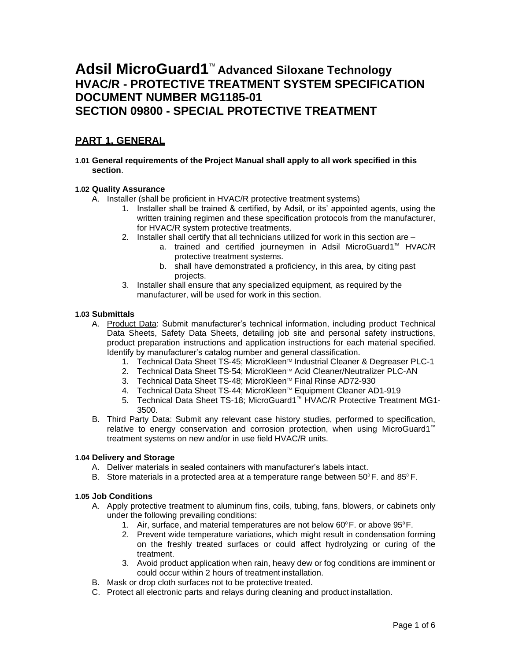# **Adsil MicroGuard1**™ **Advanced Siloxane Technology HVAC/R - PROTECTIVE TREATMENT SYSTEM SPECIFICATION DOCUMENT NUMBER MG1185-01 SECTION 09800 - SPECIAL PROTECTIVE TREATMENT**

# **PART 1, GENERAL**

**1.01 General requirements of the Project Manual shall apply to all work specified in this section**.

### **1.02 Quality Assurance**

- A. Installer (shall be proficient in HVAC/R protective treatment systems)
	- 1. Installer shall be trained & certified, by Adsil, or its' appointed agents, using the written training regimen and these specification protocols from the manufacturer, for HVAC/R system protective treatments.
	- 2. Installer shall certify that all technicians utilized for work in this section are
		- a. trained and certified journeymen in Adsil MicroGuard1™ HVAC/R protective treatment systems.
		- b. shall have demonstrated a proficiency, in this area, by citing past projects.
	- 3. Installer shall ensure that any specialized equipment, as required by the manufacturer, will be used for work in this section.

### **1.03 Submittals**

- A. Product Data: Submit manufacturer's technical information, including product Technical Data Sheets, Safety Data Sheets, detailing job site and personal safety instructions, product preparation instructions and application instructions for each material specified. Identify by manufacturer's catalog number and general classification.
	- 1. Technical Data Sheet TS-45; MicroKleen™ Industrial Cleaner & Degreaser PLC-1
	- 2. Technical Data Sheet TS-54; MicroKleen™ Acid Cleaner/Neutralizer PLC-AN
	- 3. Technical Data Sheet TS-48; MicroKleen™ Final Rinse AD72-930
	- 4. Technical Data Sheet TS-44; MicroKleen™ Equipment Cleaner AD1-919
	- 5. Technical Data Sheet TS-18; MicroGuard1™ HVAC/R Protective Treatment MG1- 3500.
- B. Third Party Data: Submit any relevant case history studies, performed to specification, relative to energy conservation and corrosion protection, when using MicroGuard1™ treatment systems on new and/or in use field HVAC/R units.

### **1.04 Delivery and Storage**

- A. Deliver materials in sealed containers with manufacturer's labels intact.
- B. Store materials in a protected area at a temperature range between  $50^{\circ}$  F. and  $85^{\circ}$  F.

### **1.05 Job Conditions**

- A. Apply protective treatment to aluminum fins, coils, tubing, fans, blowers, or cabinets only under the following prevailing conditions:
	- 1. Air, surface, and material temperatures are not below  $60^{\circ}$  F. or above  $95^{\circ}$  F.
	- 2. Prevent wide temperature variations, which might result in condensation forming on the freshly treated surfaces or could affect hydrolyzing or curing of the treatment.
	- 3. Avoid product application when rain, heavy dew or fog conditions are imminent or could occur within 2 hours of treatment installation.
- B. Mask or drop cloth surfaces not to be protective treated.
- C. Protect all electronic parts and relays during cleaning and product installation.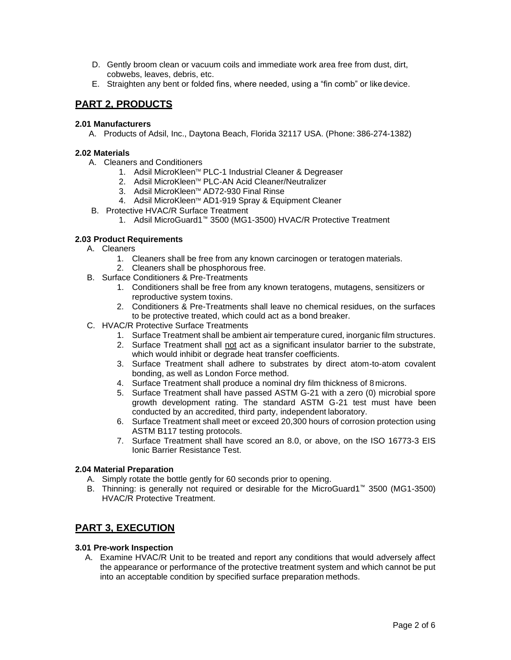- D. Gently broom clean or vacuum coils and immediate work area free from dust, dirt, cobwebs, leaves, debris, etc.
- E. Straighten any bent or folded fins, where needed, using a "fin comb" or like device.

## **PART 2, PRODUCTS**

### **2.01 Manufacturers**

A. Products of Adsil, Inc., Daytona Beach, Florida 32117 USA. (Phone: 386-274-1382)

### **2.02 Materials**

- A. Cleaners and Conditioners
	- 1. Adsil MicroKleen™ PLC-1 Industrial Cleaner & Degreaser
	- 2. Adsil MicroKleen™ PLC-AN Acid Cleaner/Neutralizer
	- 3. Adsil MicroKleen TM AD72-930 Final Rinse
	- 4. Adsil MicroKleen™ AD1-919 Spray & Equipment Cleaner
	- B. Protective HVAC/R Surface Treatment
		- 1. Adsil MicroGuard1™ 3500 (MG1-3500) HVAC/R Protective Treatment

### **2.03 Product Requirements**

- A. Cleaners
	- 1. Cleaners shall be free from any known carcinogen or teratogen materials.
	- 2. Cleaners shall be phosphorous free.
- B. Surface Conditioners & Pre-Treatments
	- 1. Conditioners shall be free from any known teratogens, mutagens, sensitizers or reproductive system toxins.
	- 2. Conditioners & Pre-Treatments shall leave no chemical residues, on the surfaces to be protective treated, which could act as a bond breaker.
- C. HVAC/R Protective Surface Treatments
	- 1. Surface Treatment shall be ambient air temperature cured, inorganic film structures.
	- 2. Surface Treatment shall not act as a significant insulator barrier to the substrate, which would inhibit or degrade heat transfer coefficients.
	- 3. Surface Treatment shall adhere to substrates by direct atom-to-atom covalent bonding, as well as London Force method.
	- 4. Surface Treatment shall produce a nominal dry film thickness of 8microns.
	- 5. Surface Treatment shall have passed ASTM G-21 with a zero (0) microbial spore growth development rating. The standard ASTM G-21 test must have been conducted by an accredited, third party, independent laboratory.
	- 6. Surface Treatment shall meet or exceed 20,300 hours of corrosion protection using ASTM B117 testing protocols.
	- 7. Surface Treatment shall have scored an 8.0, or above, on the ISO 16773-3 EIS Ionic Barrier Resistance Test.

### **2.04 Material Preparation**

- A. Simply rotate the bottle gently for 60 seconds prior to opening.
- B. Thinning: is generally not required or desirable for the MicroGuard1™ 3500 (MG1-3500) HVAC/R Protective Treatment.

### **PART 3, EXECUTION**

### **3.01 Pre-work Inspection**

A. Examine HVAC/R Unit to be treated and report any conditions that would adversely affect the appearance or performance of the protective treatment system and which cannot be put into an acceptable condition by specified surface preparation methods.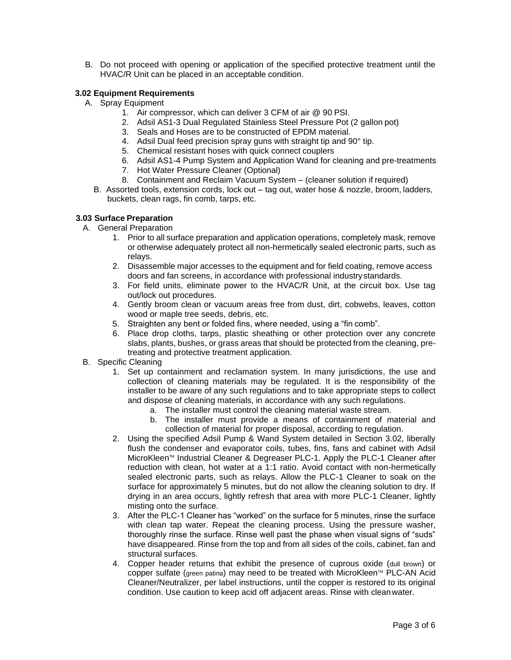B. Do not proceed with opening or application of the specified protective treatment until the HVAC/R Unit can be placed in an acceptable condition.

### **3.02 Equipment Requirements**

- A. Spray Equipment
	- 1. Air compressor, which can deliver 3 CFM of air @ 90 PSI.
	- 2. Adsil AS1-3 Dual Regulated Stainless Steel Pressure Pot (2 gallon pot)
	- 3. Seals and Hoses are to be constructed of EPDM material.
	- 4. Adsil Dual feed precision spray guns with straight tip and 90° tip.
	- 5. Chemical resistant hoses with quick connect couplers
	- 6. Adsil AS1-4 Pump System and Application Wand for cleaning and pre-treatments
	- 7. Hot Water Pressure Cleaner (Optional)
	- 8. Containment and Reclaim Vacuum System (cleaner solution if required)
	- B. Assorted tools, extension cords, lock out tag out, water hose & nozzle, broom, ladders, buckets, clean rags, fin comb, tarps, etc.

### **3.03 Surface Preparation**

- A. General Preparation
	- 1. Prior to all surface preparation and application operations, completely mask, remove or otherwise adequately protect all non-hermetically sealed electronic parts, such as relays.
	- 2. Disassemble major accesses to the equipment and for field coating, remove access doors and fan screens, in accordance with professional industrystandards.
	- 3. For field units, eliminate power to the HVAC/R Unit, at the circuit box. Use tag out/lock out procedures.
	- 4. Gently broom clean or vacuum areas free from dust, dirt, cobwebs, leaves, cotton wood or maple tree seeds, debris, etc.
	- 5. Straighten any bent or folded fins, where needed, using a "fin comb".
	- 6. Place drop cloths, tarps, plastic sheathing or other protection over any concrete slabs, plants, bushes, or grass areas that should be protected from the cleaning, pretreating and protective treatment application.
- B. Specific Cleaning
	- 1. Set up containment and reclamation system. In many jurisdictions, the use and collection of cleaning materials may be regulated. It is the responsibility of the installer to be aware of any such regulations and to take appropriate steps to collect and dispose of cleaning materials, in accordance with any such regulations.
		- a. The installer must control the cleaning material waste stream.
		- b. The installer must provide a means of containment of material and collection of material for proper disposal, according to regulation.
	- 2. Using the specified Adsil Pump & Wand System detailed in Section 3.02, liberally flush the condenser and evaporator coils, tubes, fins, fans and cabinet with Adsil MicroKleen TM Industrial Cleaner & Degreaser PLC-1. Apply the PLC-1 Cleaner after reduction with clean, hot water at a 1:1 ratio. Avoid contact with non-hermetically sealed electronic parts, such as relays. Allow the PLC-1 Cleaner to soak on the surface for approximately 5 minutes, but do not allow the cleaning solution to dry. If drying in an area occurs, lightly refresh that area with more PLC-1 Cleaner, lightly misting onto the surface.
	- 3. After the PLC-1 Cleaner has "worked" on the surface for 5 minutes, rinse the surface with clean tap water. Repeat the cleaning process. Using the pressure washer, thoroughly rinse the surface. Rinse well past the phase when visual signs of "suds" have disappeared. Rinse from the top and from all sides of the coils, cabinet, fan and structural surfaces.
	- 4. Copper header returns that exhibit the presence of cuprous oxide (dull brown) or copper sulfate (green patina) may need to be treated with MicroKleen™ PLC-AN Acid Cleaner/Neutralizer, per label instructions, until the copper is restored to its original condition. Use caution to keep acid off adjacent areas. Rinse with cleanwater.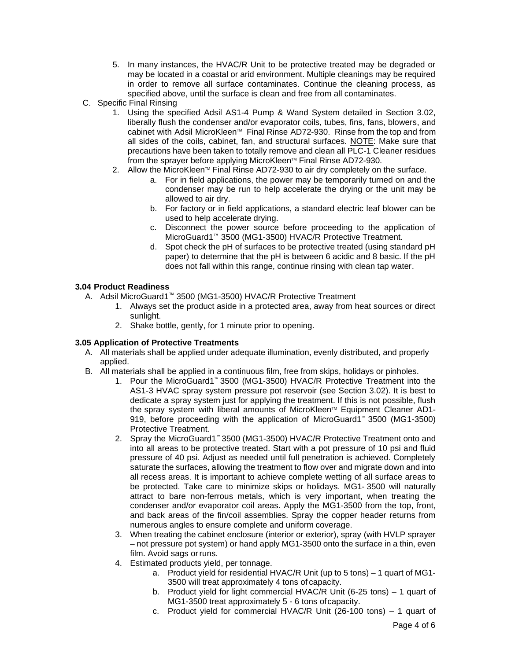- 5. In many instances, the HVAC/R Unit to be protective treated may be degraded or may be located in a coastal or arid environment. Multiple cleanings may be required in order to remove all surface contaminates. Continue the cleaning process, as specified above, until the surface is clean and free from all contaminates.
- C. Specific Final Rinsing
	- 1. Using the specified Adsil AS1-4 Pump & Wand System detailed in Section 3.02, liberally flush the condenser and/or evaporator coils, tubes, fins, fans, blowers, and cabinet with Adsil MicroKleen™ Final Rinse AD72-930. Rinse from the top and from all sides of the coils, cabinet, fan, and structural surfaces. NOTE: Make sure that precautions have been taken to totally remove and clean all PLC-1 Cleaner residues from the sprayer before applying MicroKleen™ Final Rinse AD72-930.
	- 2. Allow the MicroKleen<sup>™</sup> Final Rinse AD72-930 to air dry completely on the surface.
		- a. For in field applications, the power may be temporarily turned on and the condenser may be run to help accelerate the drying or the unit may be allowed to air dry.
		- b. For factory or in field applications, a standard electric leaf blower can be used to help accelerate drying.
		- c. Disconnect the power source before proceeding to the application of MicroGuard1™ 3500 (MG1-3500) HVAC/R Protective Treatment.
		- d. Spot check the pH of surfaces to be protective treated (using standard pH paper) to determine that the pH is between 6 acidic and 8 basic. If the pH does not fall within this range, continue rinsing with clean tap water.

### **3.04 Product Readiness**

- A. Adsil MicroGuard1™ 3500 (MG1-3500) HVAC/R Protective Treatment
	- 1. Always set the product aside in a protected area, away from heat sources or direct sunlight.
	- 2. Shake bottle, gently, for 1 minute prior to opening.

### **3.05 Application of Protective Treatments**

- A. All materials shall be applied under adequate illumination, evenly distributed, and properly applied.
- B. All materials shall be applied in a continuous film, free from skips, holidays or pinholes.
	- 1. Pour the MicroGuard1™ 3500 (MG1-3500) HVAC/R Protective Treatment into the AS1-3 HVAC spray system pressure pot reservoir (see Section 3.02). It is best to dedicate a spray system just for applying the treatment. If this is not possible, flush the spray system with liberal amounts of MicroKleen™ Equipment Cleaner AD1-919, before proceeding with the application of MicroGuard1™ 3500 (MG1-3500) Protective Treatment.
	- 2. Spray the MicroGuard1™ 3500 (MG1-3500) HVAC/R Protective Treatment onto and into all areas to be protective treated. Start with a pot pressure of 10 psi and fluid pressure of 40 psi. Adjust as needed until full penetration is achieved. Completely saturate the surfaces, allowing the treatment to flow over and migrate down and into all recess areas. It is important to achieve complete wetting of all surface areas to be protected. Take care to minimize skips or holidays. MG1- 3500 will naturally attract to bare non-ferrous metals, which is very important, when treating the condenser and/or evaporator coil areas. Apply the MG1-3500 from the top, front, and back areas of the fin/coil assemblies. Spray the copper header returns from numerous angles to ensure complete and uniform coverage.
	- 3. When treating the cabinet enclosure (interior or exterior), spray (with HVLP sprayer – not pressure pot system) or hand apply MG1-3500 onto the surface in a thin, even film. Avoid sags orruns.
	- 4. Estimated products yield, per tonnage.
		- a. Product yield for residential HVAC/R Unit (up to 5 tons) 1 quart of MG1- 3500 will treat approximately 4 tons of capacity.
		- b. Product yield for light commercial HVAC/R Unit (6-25 tons) 1 quart of MG1-3500 treat approximately 5 - 6 tons ofcapacity.
		- c. Product yield for commercial HVAC/R Unit (26-100 tons) 1 quart of